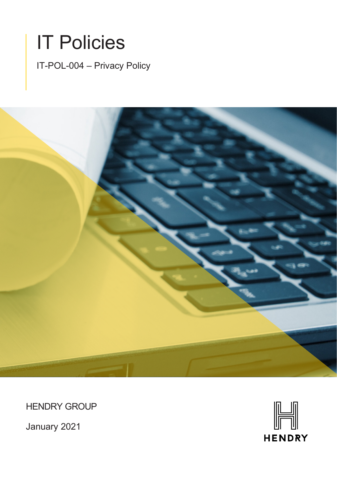

IT-POL-004 – Privacy Policy



HENDRY GROUP

January 2021

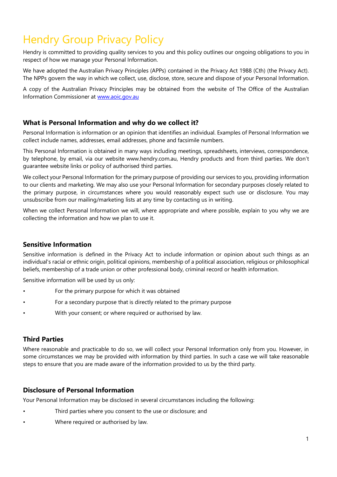# Hendry Group Privacy Policy

Hendry is committed to providing quality services to you and this policy outlines our ongoing obligations to you in respect of how we manage your Personal Information.

We have adopted the Australian Privacy Principles (APPs) contained in the Privacy Act 1988 (Cth) (the Privacy Act). The NPPs govern the way in which we collect, use, disclose, store, secure and dispose of your Personal Information.

A copy of the Australian Privacy Principles may be obtained from the website of The Office of the Australian Information Commissioner at [www.aoic.gov.au](http://www.aoic.gov.au/)

# **What is Personal Information and why do we collect it?**

Personal Information is information or an opinion that identifies an individual. Examples of Personal Information we collect include names, addresses, email addresses, phone and facsimile numbers.

This Personal Information is obtained in many ways including meetings, spreadsheets, interviews, correspondence, by telephone, by email, via our website www.hendry.com.au, Hendry products and from third parties. We don't guarantee website links or policy of authorised third parties.

We collect your Personal Information for the primary purpose of providing our services to you, providing information to our clients and marketing. We may also use your Personal Information for secondary purposes closely related to the primary purpose, in circumstances where you would reasonably expect such use or disclosure. You may unsubscribe from our mailing/marketing lists at any time by contacting us in writing.

When we collect Personal Information we will, where appropriate and where possible, explain to you why we are collecting the information and how we plan to use it.

## **Sensitive Information**

Sensitive information is defined in the Privacy Act to include information or opinion about such things as an individual's racial or ethnic origin, political opinions, membership of a political association, religious or philosophical beliefs, membership of a trade union or other professional body, criminal record or health information.

Sensitive information will be used by us only:

- For the primary purpose for which it was obtained
- For a secondary purpose that is directly related to the primary purpose
- With your consent; or where required or authorised by law.

## **Third Parties**

Where reasonable and practicable to do so, we will collect your Personal Information only from you. However, in some circumstances we may be provided with information by third parties. In such a case we will take reasonable steps to ensure that you are made aware of the information provided to us by the third party.

#### **Disclosure of Personal Information**

Your Personal Information may be disclosed in several circumstances including the following:

- Third parties where you consent to the use or disclosure; and
- Where required or authorised by law.